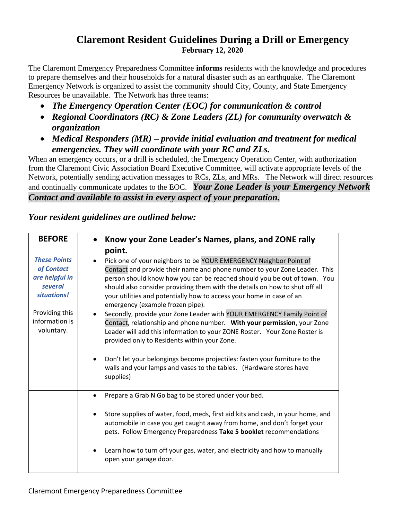## **Claremont Resident Guidelines During a Drill or Emergency February 12, 2020**

The Claremont Emergency Preparedness Committee **informs** residents with the knowledge and procedures to prepare themselves and their households for a natural disaster such as an earthquake. The Claremont Emergency Network is organized to assist the community should City, County, and State Emergency Resources be unavailable. The Network has three teams:

- *The Emergency Operation Center (EOC) for communication & control*
- *Regional Coordinators (RC) & Zone Leaders (ZL) for community overwatch & organization*
- *Medical Responders (MR) – provide initial evaluation and treatment for medical emergencies. They will coordinate with your RC and ZLs.*

When an emergency occurs, or a drill is scheduled, the Emergency Operation Center, with authorization from the Claremont Civic Association Board Executive Committee, will activate appropriate levels of the Network, potentially sending activation messages to RCs, ZLs, and MRs. The Network will direct resources and continually communicate updates to the EOC. *Your Zone Leader is your Emergency Network Contact and available to assist in every aspect of your preparation.*

| <b>BEFORE</b>                                                                                                                   | Know your Zone Leader's Names, plans, and ZONE rally                                                                                                                                                                                                                                                                                                                                                                                                                                                                                                                                                                                                                                                    |
|---------------------------------------------------------------------------------------------------------------------------------|---------------------------------------------------------------------------------------------------------------------------------------------------------------------------------------------------------------------------------------------------------------------------------------------------------------------------------------------------------------------------------------------------------------------------------------------------------------------------------------------------------------------------------------------------------------------------------------------------------------------------------------------------------------------------------------------------------|
|                                                                                                                                 | point.                                                                                                                                                                                                                                                                                                                                                                                                                                                                                                                                                                                                                                                                                                  |
| <b>These Points</b><br>of Contact<br>are helpful in<br>several<br>situations!<br>Providing this<br>information is<br>voluntary. | Pick one of your neighbors to be YOUR EMERGENCY Neighbor Point of<br>Contact and provide their name and phone number to your Zone Leader. This<br>person should know how you can be reached should you be out of town. You<br>should also consider providing them with the details on how to shut off all<br>your utilities and potentially how to access your home in case of an<br>emergency (example frozen pipe).<br>Secondly, provide your Zone Leader with YOUR EMERGENCY Family Point of<br>Contact, relationship and phone number. With your permission, your Zone<br>Leader will add this information to your ZONE Roster. Your Zone Roster is<br>provided only to Residents within your Zone. |
|                                                                                                                                 | Don't let your belongings become projectiles: fasten your furniture to the<br>walls and your lamps and vases to the tables. (Hardware stores have<br>supplies)                                                                                                                                                                                                                                                                                                                                                                                                                                                                                                                                          |
|                                                                                                                                 | Prepare a Grab N Go bag to be stored under your bed.<br>$\bullet$                                                                                                                                                                                                                                                                                                                                                                                                                                                                                                                                                                                                                                       |
|                                                                                                                                 | Store supplies of water, food, meds, first aid kits and cash, in your home, and<br>$\bullet$<br>automobile in case you get caught away from home, and don't forget your<br>pets. Follow Emergency Preparedness Take 5 booklet recommendations                                                                                                                                                                                                                                                                                                                                                                                                                                                           |
|                                                                                                                                 | Learn how to turn off your gas, water, and electricity and how to manually<br>$\bullet$<br>open your garage door.                                                                                                                                                                                                                                                                                                                                                                                                                                                                                                                                                                                       |

## *Your resident guidelines are outlined below:*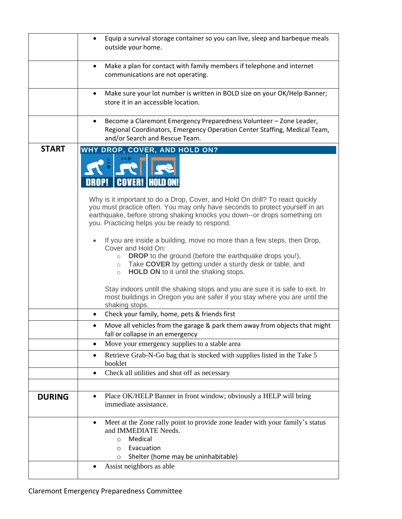| Equip a survival storage container so you can live, sleep and barbeque meals<br>$\bullet$<br>outside your home.                                                                                                                                                                                      |
|------------------------------------------------------------------------------------------------------------------------------------------------------------------------------------------------------------------------------------------------------------------------------------------------------|
| Make a plan for contact with family members if telephone and internet<br>$\bullet$<br>communications are not operating.                                                                                                                                                                              |
| Make sure your lot number is written in BOLD size on your OK/Help Banner;<br>$\bullet$<br>store it in an accessible location.                                                                                                                                                                        |
| Become a Claremont Emergency Preparedness Volunteer - Zone Leader,<br>$\bullet$<br>Regional Coordinators, Emergency Operation Center Staffing, Medical Team,<br>and/or Search and Rescue Team.                                                                                                       |
| WHY DROP, COVER, AND HOLD ON?<br><b>COVER!  HOLD ON!</b>                                                                                                                                                                                                                                             |
| Why is it important to do a Drop, Cover, and Hold On drill? To react quickly<br>you must practice often. You may only have seconds to protect yourself in an<br>earthquake, before strong shaking knocks you down--or drops something on<br>you. Practicing helps you be ready to respond.           |
| If you are inside a building, move no more than a few steps, then Drop,<br>Cover and Hold On:<br><b>DROP</b> to the ground (before the earthquake drops you!),<br>$\circ$<br>Take COVER by getting under a sturdy desk or table, and<br>$\circ$<br>HOLD ON to it until the shaking stops.<br>$\circ$ |
| Stay indoors untill the shaking stops and you are sure it is safe to exit. In<br>most buildings in Oregon you are safer if you stay where you are until the<br>shaking stops.                                                                                                                        |
| Check your family, home, pets & friends first<br>٠                                                                                                                                                                                                                                                   |
| Move all vehicles from the garage & park them away from objects that might<br>fall or collapse in an emergency                                                                                                                                                                                       |
| Move your emergency supplies to a stable area<br>٠                                                                                                                                                                                                                                                   |
| Retrieve Grab-N-Go bag that is stocked with supplies listed in the Take 5<br>booklet                                                                                                                                                                                                                 |
| Check all utilities and shut off as necessary<br>$\bullet$                                                                                                                                                                                                                                           |
|                                                                                                                                                                                                                                                                                                      |
| Place OK/HELP Banner in front window; obviously a HELP will bring<br>٠<br>immediate assistance.                                                                                                                                                                                                      |
| Meet at the Zone rally point to provide zone leader with your family's status<br>٠<br>and IMMEDIATE Needs.<br>Medical<br>$\circ$<br>Evacuation<br>$\circ$<br>Shelter (home may be uninhabitable)<br>$\circ$                                                                                          |
| Assist neighbors as able                                                                                                                                                                                                                                                                             |
|                                                                                                                                                                                                                                                                                                      |